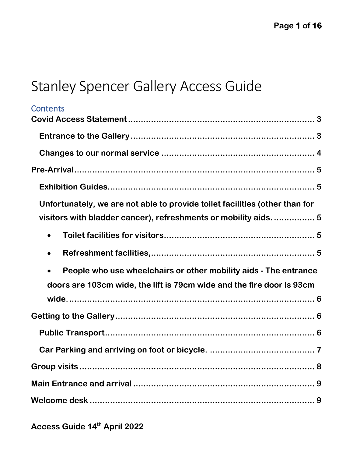# Stanley Spencer Gallery Access Guide

| <b>Contents</b>                                                               |
|-------------------------------------------------------------------------------|
|                                                                               |
|                                                                               |
|                                                                               |
|                                                                               |
| Unfortunately, we are not able to provide toilet facilities (other than for   |
| visitors with bladder cancer), refreshments or mobility aids.  5              |
|                                                                               |
|                                                                               |
| People who use wheelchairs or other mobility aids - The entrance<br>$\bullet$ |
| doors are 103cm wide, the lift is 79cm wide and the fire door is 93cm         |
|                                                                               |
|                                                                               |
|                                                                               |
|                                                                               |
|                                                                               |
|                                                                               |
|                                                                               |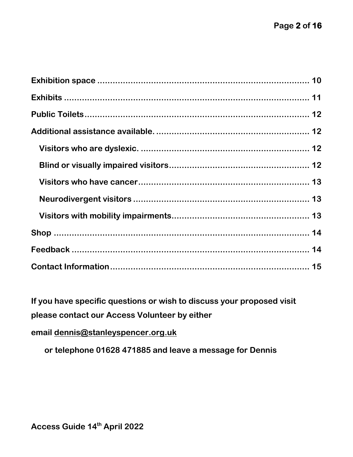**If you have specific questions or wish to discuss your proposed visit please contact our Access Volunteer by either**

**email [dennis@stanleyspencer.org.uk](mailto:dennis@stanleyspencer.org.uk)**

**or telephone 01628 471885 and leave a message for Dennis**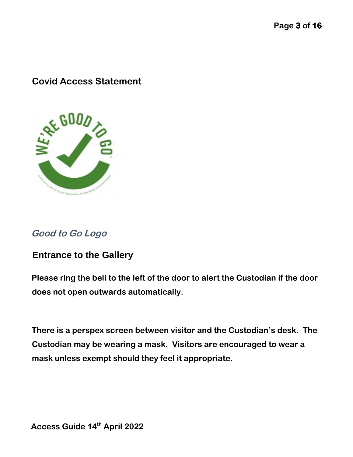## <span id="page-2-0"></span>**Covid Access Statement**



# **Good to Go Logo**

#### <span id="page-2-1"></span>**Entrance to the Gallery**

**Please ring the bell to the left of the door to alert the Custodian if the door does not open outwards automatically.**

**There is a perspex screen between visitor and the Custodian's desk. The Custodian may be wearing a mask. Visitors are encouraged to wear a mask unless exempt should they feel it appropriate.**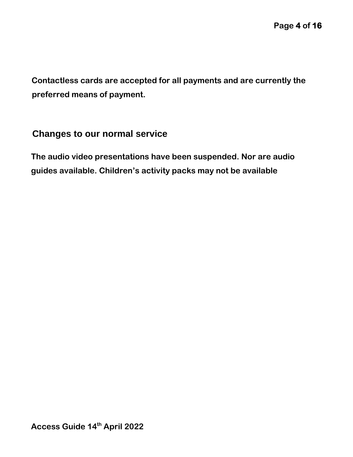**Contactless cards are accepted for all payments and are currently the preferred means of payment.**

#### <span id="page-3-0"></span>**Changes to our normal service**

**The audio video presentations have been suspended. Nor are audio guides available. Children's activity packs may not be available**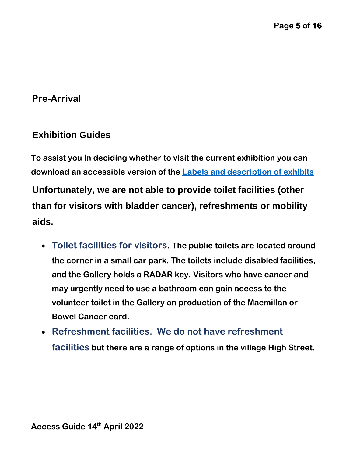## <span id="page-4-0"></span>**Pre-Arrival**

#### <span id="page-4-1"></span>**Exhibition Guides**

**To assist you in deciding whether to visit the current exhibition you can download an accessible version of the [Labels and description of exhibits](file:///C:/Users/denni/AppData/Roaming/Microsoft/Word/Labels%20and%20description%20of%20exhibits.docx)**

<span id="page-4-2"></span>**Unfortunately, we are not able to provide toilet facilities (other than for visitors with bladder cancer), refreshments or mobility aids.**

- <span id="page-4-3"></span>• **Toilet facilities for visitors. The public toilets are located around the corner in a small car park. The toilets include disabled facilities, and the Gallery holds a RADAR key. Visitors who have cancer and may urgently need to use a bathroom can gain access to the volunteer toilet in the Gallery on production of the Macmillan or Bowel Cancer card.**
- <span id="page-4-4"></span>• **Refreshment facilities. We do not have refreshment facilities but there are a range of options in the village High Street.**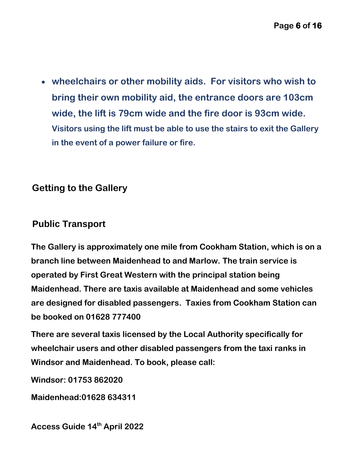<span id="page-5-0"></span>• **wheelchairs or other mobility aids. For visitors who wish to bring their own mobility aid, the entrance doors are 103cm wide, the lift is 79cm wide and the fire door is 93cm wide. Visitors using the lift must be able to use the stairs to exit the Gallery in the event of a power failure or fire.**

# <span id="page-5-1"></span>**Getting to the Gallery**

# <span id="page-5-2"></span>**Public Transport**

**The Gallery is approximately one mile from Cookham Station, which is on a branch line between Maidenhead to and Marlow. The train service is operated by First Great Western with the principal station being Maidenhead. There are taxis available at Maidenhead and some vehicles are designed for disabled passengers. Taxies from Cookham Station can be booked on 01628 777400** 

**There are several taxis licensed by the Local Authority specifically for wheelchair users and other disabled passengers from the taxi ranks in Windsor and Maidenhead. To book, please call:**

**Windsor: 01753 862020** 

**Maidenhead:01628 634311**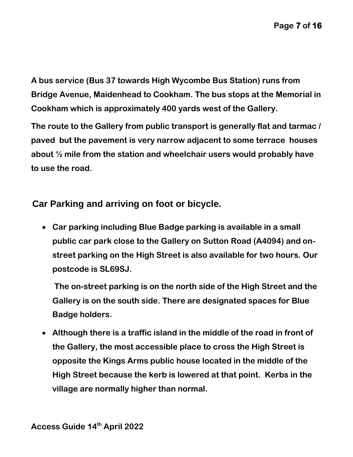**A bus service (Bus 37 towards High Wycombe Bus Station) runs from Bridge Avenue, Maidenhead to Cookham. The bus stops at the Memorial in Cookham which is approximately 400 yards west of the Gallery.** 

**The route to the Gallery from public transport is generally flat and tarmac / paved but the pavement is very narrow adjacent to some terrace houses about ½ mile from the station and wheelchair users would probably have to use the road.**

<span id="page-6-0"></span>**Car Parking and arriving on foot or bicycle.** 

• **Car parking including Blue Badge parking is available in a small public car park close to the Gallery on Sutton Road (A4094) and onstreet parking on the High Street is also available for two hours. Our postcode is SL69SJ.**

**The on-street parking is on the north side of the High Street and the Gallery is on the south side. There are designated spaces for Blue Badge holders.** 

• **Although there is a traffic island in the middle of the road in front of the Gallery, the most accessible place to cross the High Street is opposite the Kings Arms public house located in the middle of the High Street because the kerb is lowered at that point. Kerbs in the village are normally higher than normal.**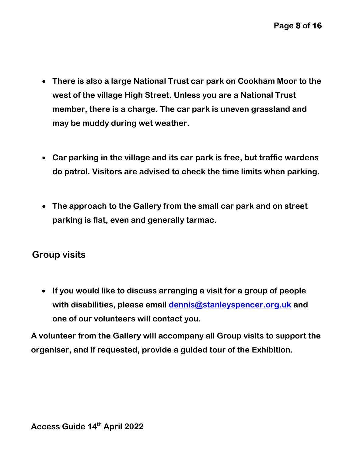- **There is also a large National Trust car park on Cookham Moor to the west of the village High Street. Unless you are a National Trust member, there is a charge. The car park is uneven grassland and may be muddy during wet weather.**
- **Car parking in the village and its car park is free, but traffic wardens do patrol. Visitors are advised to check the time limits when parking.**
- **The approach to the Gallery from the small car park and on street parking is flat, even and generally tarmac.**

# <span id="page-7-0"></span>**Group visits**

• **If you would like to discuss arranging a visit for a group of people with disabilities, please email dennis@stanleyspencer.org.uk and one of our volunteers will contact you.** 

**A volunteer from the Gallery will accompany all Group visits to support the organiser, and if requested, provide a guided tour of the Exhibition.**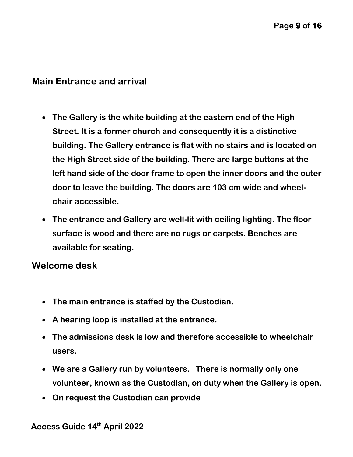#### <span id="page-8-0"></span>**Main Entrance and arrival**

- **The Gallery is the white building at the eastern end of the High Street. It is a former church and consequently it is a distinctive building. The Gallery entrance is flat with no stairs and is located on the High Street side of the building. There are large buttons at the left hand side of the door frame to open the inner doors and the outer door to leave the building. The doors are 103 cm wide and wheelchair accessible.**
- **The entrance and Gallery are well-lit with ceiling lighting. The floor surface is wood and there are no rugs or carpets. Benches are available for seating.**

## <span id="page-8-1"></span>**Welcome desk**

- **The main entrance is staffed by the Custodian.**
- **A hearing loop is installed at the entrance.**
- **The admissions desk is low and therefore accessible to wheelchair users.**
- **We are a Gallery run by volunteers. There is normally only one volunteer, known as the Custodian, on duty when the Gallery is open.**
- **On request the Custodian can provide**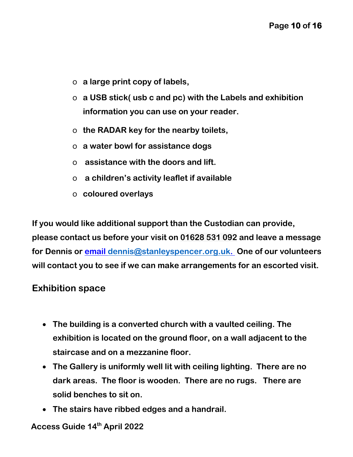- o **a large print copy of labels,**
- o **a USB stick( usb c and pc) with the Labels and exhibition information you can use on your reader.**
- o **the RADAR key for the nearby toilets,**
- o **a water bowl for assistance dogs**
- o **assistance with the doors and lift.**
- o **a children's activity leaflet if available**
- o **coloured overlays**

**If you would like additional support than the Custodian can provide, please contact us before your visit on 01628 531 092 and leave a message for Dennis or email [dennis@stanleyspencer.org.uk.](mailto:dennis@stanleyspencer.org.uk) One of our volunteers will contact you to see if we can make arrangements for an escorted visit.**

#### <span id="page-9-0"></span>**Exhibition space**

- **The building is a converted church with a vaulted ceiling. The exhibition is located on the ground floor, on a wall adjacent to the staircase and on a mezzanine floor.**
- **The Gallery is uniformly well lit with ceiling lighting. There are no dark areas. The floor is wooden. There are no rugs. There are solid benches to sit on.**
- **The stairs have ribbed edges and a handrail.**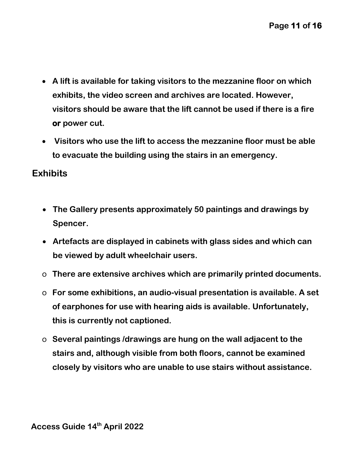- **A lift is available for taking visitors to the mezzanine floor on which exhibits, the video screen and archives are located. However, visitors should be aware that the lift cannot be used if there is a fire or power cut.**
- • **Visitors who use the lift to access the mezzanine floor must be able to evacuate the building using the stairs in an emergency.**

#### <span id="page-10-0"></span>**Exhibits**

- **The Gallery presents approximately 50 paintings and drawings by Spencer.**
- **Artefacts are displayed in cabinets with glass sides and which can be viewed by adult wheelchair users.**
- o **There are extensive archives which are primarily printed documents.**
- o **For some exhibitions, an audio-visual presentation is available. A set of earphones for use with hearing aids is available. Unfortunately, this is currently not captioned.**
- o **Several paintings /drawings are hung on the wall adjacent to the stairs and, although visible from both floors, cannot be examined closely by visitors who are unable to use stairs without assistance.**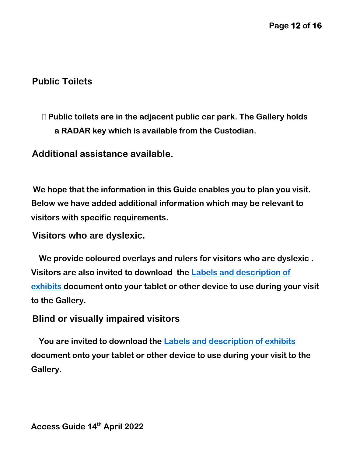# <span id="page-11-0"></span>**Public Toilets**

# **Public toilets are in the adjacent public car park. The Gallery holds a RADAR key which is available from the Custodian.**

<span id="page-11-1"></span>**Additional assistance available.**

**We hope that the information in this Guide enables you to plan you visit. Below we have added additional information which may be relevant to visitors with specific requirements.**

#### <span id="page-11-2"></span>**Visitors who are dyslexic.**

 **We provide coloured overlays and rulers for visitors who are dyslexic . Visitors are also invited to download the [Labels and description of](file:///D:/Gallery/Labels%20and%20description%20of%20exhibits.docx)  [exhibits](file:///D:/Gallery/Labels%20and%20description%20of%20exhibits.docx) document onto your tablet or other device to use during your visit to the Gallery.**

#### <span id="page-11-3"></span>**Blind or visually impaired visitors**

 **You are invited to download the [Labels and description of exhibits](file:///D:/Gallery/Labels%20and%20description%20of%20exhibits.docx) document onto your tablet or other device to use during your visit to the Gallery.**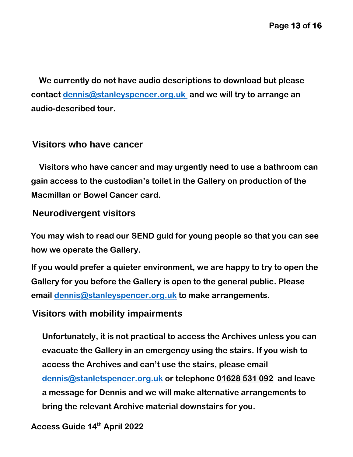**We currently do not have audio descriptions to download but please contact [dennis@stanleyspencer.org.uk](mailto:dennis@stanleyspencer.org.uk) and we will try to arrange an audio-described tour.**

#### <span id="page-12-0"></span>**Visitors who have cancer**

 **Visitors who have cancer and may urgently need to use a bathroom can gain access to the custodian's toilet in the Gallery on production of the Macmillan or Bowel Cancer card.**

#### <span id="page-12-1"></span>**Neurodivergent visitors**

**You may wish to read our SEND guid for young people so that you can see how we operate the Gallery.**

**If you would prefer a quieter environment, we are happy to try to open the Gallery for you before the Gallery is open to the general public. Please email [dennis@stanleyspencer.org.uk](mailto:dennis@stanleyspencer.org.uk) to make arrangements.**

#### <span id="page-12-2"></span>**Visitors with mobility impairments**

**Unfortunately, it is not practical to access the Archives unless you can evacuate the Gallery in an emergency using the stairs. If you wish to access the Archives and can't use the stairs, please email [dennis@stanletspencer.org.uk](mailto:dennis@stanletspencer.org.uk) or telephone 01628 531 092 and leave a message for Dennis and we will make alternative arrangements to bring the relevant Archive material downstairs for you.**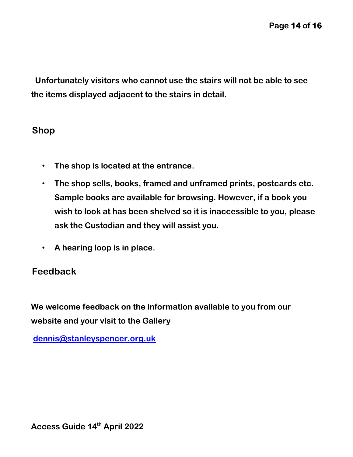**Unfortunately visitors who cannot use the stairs will not be able to see the items displayed adjacent to the stairs in detail.**

#### <span id="page-13-0"></span>**Shop**

- **The shop is located at the entrance.**
- **The shop sells, books, framed and unframed prints, postcards etc. Sample books are available for browsing. However, if a book you wish to look at has been shelved so it is inaccessible to you, please ask the Custodian and they will assist you.**
- **A hearing loop is in place.**

# <span id="page-13-1"></span>**Feedback**

**We welcome feedback on the information available to you from our website and your visit to the Gallery**

**dennis@stanleyspencer.org.uk**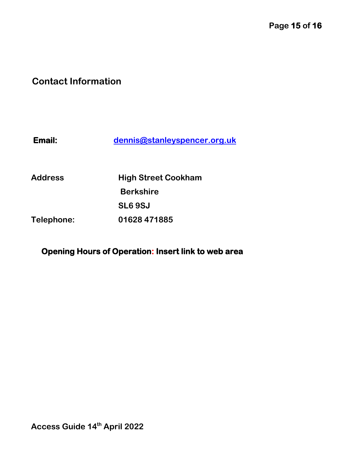# <span id="page-14-0"></span>**Contact Information**

| Email:         | dennis@stanleyspencer.org.uk |
|----------------|------------------------------|
| <b>Address</b> | <b>High Street Cookham</b>   |
|                | <b>Berkshire</b>             |
|                |                              |

**Telephone: 01628 471885** 

**SL6 9SJ** 

**Opening Hours of Operation: Insert link to web area**